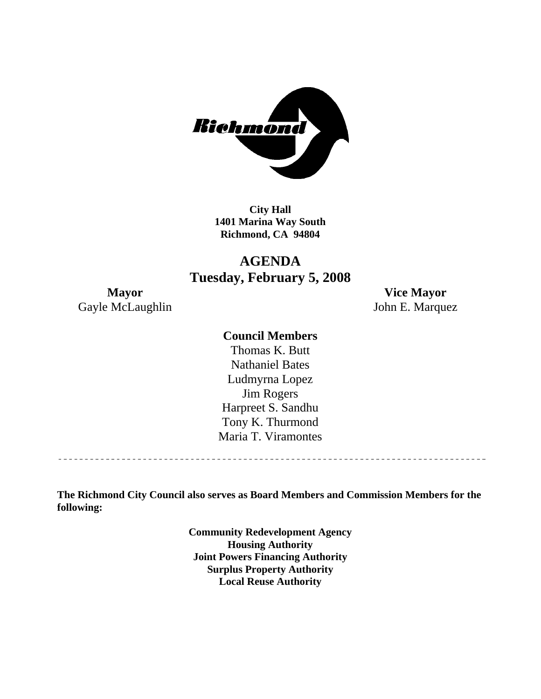

**City Hall 1401 Marina Way South Richmond, CA 94804** 

## **AGENDA Tuesday, February 5, 2008**

Gayle McLaughlin John E. Marquez

**Mayor Vice Mayor** 

#### **Council Members**

Harpreet S. Sandhu Tony K. Thurmond Maria T. Viramontes Thomas K. Butt Nathaniel Bates Ludmyrna Lopez Jim Rogers

**The Richmond City Council also serves as Board Members and Commission Members for the following:** 

> **Community Redevelopment Agency Housing Authority Joint Powers Financing Authority Surplus Property Authority Local Reuse Authority**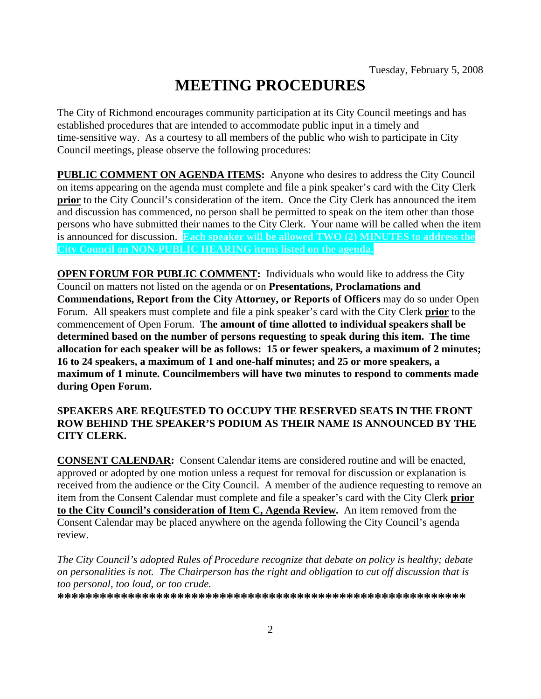# **MEETING PROCEDURES**

The City of Richmond encourages community participation at its City Council meetings and has established procedures that are intended to accommodate public input in a timely and time-sensitive way. As a courtesy to all members of the public who wish to participate in City Council meetings, please observe the following procedures:

**PUBLIC COMMENT ON AGENDA ITEMS:** Anyone who desires to address the City Council on items appearing on the agenda must complete and file a pink speaker's card with the City Clerk **prior** to the City Council's consideration of the item. Once the City Clerk has announced the item and discussion has commenced, no person shall be permitted to speak on the item other than those persons who have submitted their names to the City Clerk. Your name will be called when the item is announced for discussion. **Each speaker will be allowed TWO (2) MINUTES to address the City Council on NON-PUBLIC HEARING items listed on the agenda.** 

**OPEN FORUM FOR PUBLIC COMMENT:** Individuals who would like to address the City Council on matters not listed on the agenda or on **Presentations, Proclamations and Commendations, Report from the City Attorney, or Reports of Officers** may do so under Open Forum. All speakers must complete and file a pink speaker's card with the City Clerk **prior** to the commencement of Open Forum. **The amount of time allotted to individual speakers shall be determined based on the number of persons requesting to speak during this item. The time allocation for each speaker will be as follows: 15 or fewer speakers, a maximum of 2 minutes; 16 to 24 speakers, a maximum of 1 and one-half minutes; and 25 or more speakers, a maximum of 1 minute. Councilmembers will have two minutes to respond to comments made during Open Forum.** 

#### **SPEAKERS ARE REQUESTED TO OCCUPY THE RESERVED SEATS IN THE FRONT ROW BEHIND THE SPEAKER'S PODIUM AS THEIR NAME IS ANNOUNCED BY THE CITY CLERK.**

**CONSENT CALENDAR:** Consent Calendar items are considered routine and will be enacted, approved or adopted by one motion unless a request for removal for discussion or explanation is received from the audience or the City Council. A member of the audience requesting to remove an item from the Consent Calendar must complete and file a speaker's card with the City Clerk **prior to the City Council's consideration of Item C, Agenda Review.** An item removed from the Consent Calendar may be placed anywhere on the agenda following the City Council's agenda review.

*The City Council's adopted Rules of Procedure recognize that debate on policy is healthy; debate on personalities is not. The Chairperson has the right and obligation to cut off discussion that is too personal, too loud, or too crude.* 

**\*\*\*\*\*\*\*\*\*\*\*\*\*\*\*\*\*\*\*\*\*\*\*\*\*\*\*\*\*\*\*\*\*\*\*\*\*\*\*\*\*\*\*\*\*\*\*\*\*\*\*\*\*\*\*\*\*\***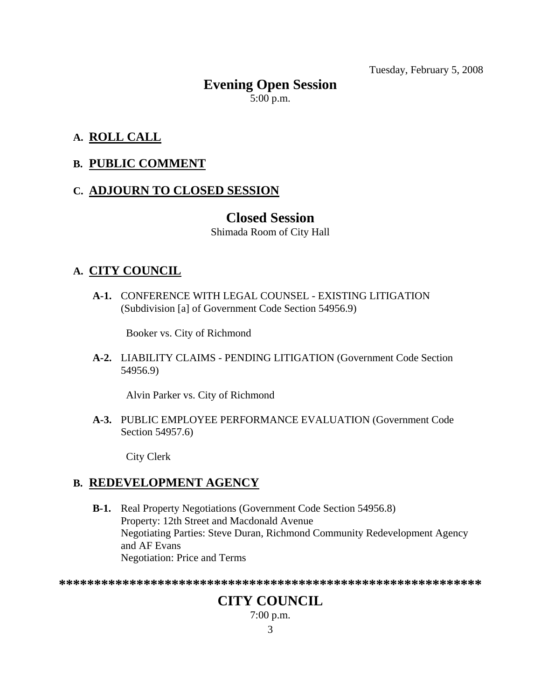Tuesday, February 5, 2008

## **Evening Open Session**  5:00 p.m.

### **A. ROLL CALL**

#### **B. PUBLIC COMMENT**

#### **C. ADJOURN TO CLOSED SESSION**

## **Closed Session**

Shimada Room of City Hall

#### **A. CITY COUNCIL**

 **A-1.** CONFERENCE WITH LEGAL COUNSEL - EXISTING LITIGATION (Subdivision [a] of Government Code Section 54956.9)

Booker vs. City of Richmond

 **A-2.** LIABILITY CLAIMS - PENDING LITIGATION (Government Code Section 54956.9)

Alvin Parker vs. City of Richmond

 **A-3.** PUBLIC EMPLOYEE PERFORMANCE EVALUATION (Government Code Section 54957.6)

City Clerk

#### **B. REDEVELOPMENT AGENCY**

**B-1.** Real Property Negotiations (Government Code Section 54956.8) Property: 12th Street and Macdonald Avenue Negotiating Parties: Steve Duran, Richmond Community Redevelopment Agency and AF Evans Negotiation: Price and Terms

**\*\*\*\*\*\*\*\*\*\*\*\*\*\*\*\*\*\*\*\*\*\*\*\*\*\*\*\*\*\*\*\*\*\*\*\*\*\*\*\*\*\*\*\*\*\*\*\*\*\*\*\*\*\*\*\*\*\*\*\*** 

## **CITY COUNCIL**

7:00 p.m.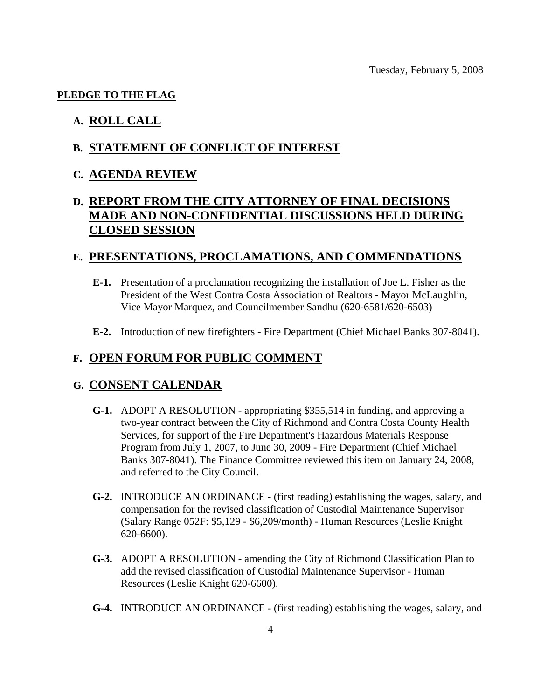#### **PLEDGE TO THE FLAG**

#### **A. ROLL CALL**

#### **B. STATEMENT OF CONFLICT OF INTEREST**

#### **C. AGENDA REVIEW**

## **D. REPORT FROM THE CITY ATTORNEY OF FINAL DECISIONS MADE AND NON-CONFIDENTIAL DISCUSSIONS HELD DURING CLOSED SESSION**

#### **E. PRESENTATIONS, PROCLAMATIONS, AND COMMENDATIONS**

- **E-1.** Presentation of a proclamation recognizing the installation of Joe L. Fisher as the President of the West Contra Costa Association of Realtors - Mayor McLaughlin, Vice Mayor Marquez, and Councilmember Sandhu (620-6581/620-6503)
- **E-2.** Introduction of new firefighters Fire Department (Chief Michael Banks 307-8041).

#### **F. OPEN FORUM FOR PUBLIC COMMENT**

#### **G. CONSENT CALENDAR**

- **G-1.** ADOPT A RESOLUTION appropriating \$355,514 in funding, and approving a two-year contract between the City of Richmond and Contra Costa County Health Services, for support of the Fire Department's Hazardous Materials Response Program from July 1, 2007, to June 30, 2009 - Fire Department (Chief Michael Banks 307-8041). The Finance Committee reviewed this item on January 24, 2008, and referred to the City Council.
- **G-2.** INTRODUCE AN ORDINANCE (first reading) establishing the wages, salary, and compensation for the revised classification of Custodial Maintenance Supervisor (Salary Range 052F: \$5,129 - \$6,209/month) - Human Resources (Leslie Knight 620-6600).
- **G-3.** ADOPT A RESOLUTION amending the City of Richmond Classification Plan to add the revised classification of Custodial Maintenance Supervisor - Human Resources (Leslie Knight 620-6600).
- **G-4.** INTRODUCE AN ORDINANCE (first reading) establishing the wages, salary, and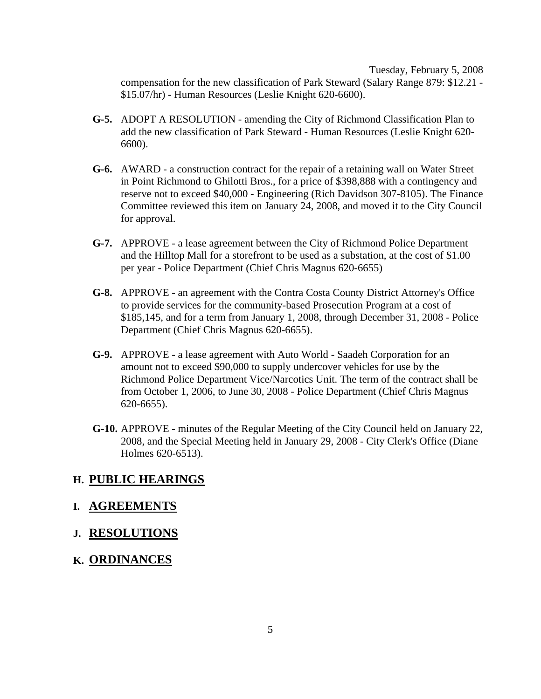Tuesday, February 5, 2008 compensation for the new classification of Park Steward (Salary Range 879: \$12.21 - \$15.07/hr) - Human Resources (Leslie Knight 620-6600).

- **G-5.** ADOPT A RESOLUTION amending the City of Richmond Classification Plan to add the new classification of Park Steward - Human Resources (Leslie Knight 620- 6600).
- **G-6.** AWARD a construction contract for the repair of a retaining wall on Water Street in Point Richmond to Ghilotti Bros., for a price of \$398,888 with a contingency and reserve not to exceed \$40,000 - Engineering (Rich Davidson 307-8105). The Finance Committee reviewed this item on January 24, 2008, and moved it to the City Council for approval.
- **G-7.** APPROVE a lease agreement between the City of Richmond Police Department and the Hilltop Mall for a storefront to be used as a substation, at the cost of \$1.00 per year - Police Department (Chief Chris Magnus 620-6655)
- **G-8.** APPROVE an agreement with the Contra Costa County District Attorney's Office to provide services for the community-based Prosecution Program at a cost of \$185,145, and for a term from January 1, 2008, through December 31, 2008 - Police Department (Chief Chris Magnus 620-6655).
- **G-9.** APPROVE a lease agreement with Auto World Saadeh Corporation for an amount not to exceed \$90,000 to supply undercover vehicles for use by the Richmond Police Department Vice/Narcotics Unit. The term of the contract shall be from October 1, 2006, to June 30, 2008 - Police Department (Chief Chris Magnus 620-6655).
- **G-10.** APPROVE minutes of the Regular Meeting of the City Council held on January 22, 2008, and the Special Meeting held in January 29, 2008 - City Clerk's Office (Diane Holmes 620-6513).

#### **H. PUBLIC HEARINGS**

#### **I. AGREEMENTS**

**J. RESOLUTIONS**

#### **K. ORDINANCES**